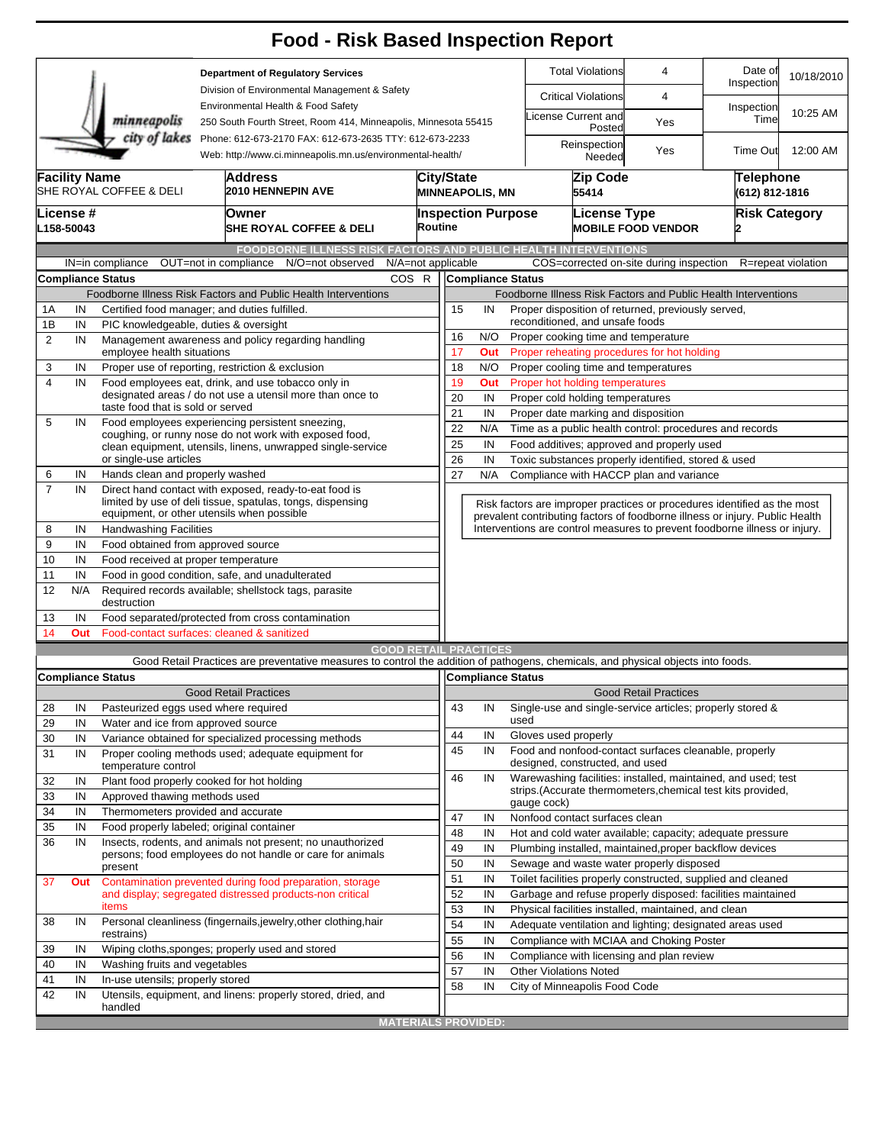|                                                                                                                                        |                                                                                                          |                                     | <b>Food - Risk Based Inspection Report</b>                                                                                                                         |                              |                                             |                                                                        |                              |                                                                                                                                                            |                              |                             |                    |  |  |
|----------------------------------------------------------------------------------------------------------------------------------------|----------------------------------------------------------------------------------------------------------|-------------------------------------|--------------------------------------------------------------------------------------------------------------------------------------------------------------------|------------------------------|---------------------------------------------|------------------------------------------------------------------------|------------------------------|------------------------------------------------------------------------------------------------------------------------------------------------------------|------------------------------|-----------------------------|--------------------|--|--|
| <b>Department of Regulatory Services</b><br>Division of Environmental Management & Safety                                              |                                                                                                          |                                     |                                                                                                                                                                    |                              |                                             |                                                                        |                              | <b>Total Violations</b>                                                                                                                                    | 4                            | Date of<br>Inspection       | 10/18/2010         |  |  |
|                                                                                                                                        |                                                                                                          |                                     |                                                                                                                                                                    |                              |                                             |                                                                        |                              | <b>Critical Violations</b><br>4                                                                                                                            |                              |                             |                    |  |  |
|                                                                                                                                        |                                                                                                          | minneapolis                         | Environmental Health & Food Safety<br>250 South Fourth Street, Room 414, Minneapolis, Minnesota 55415                                                              |                              |                                             |                                                                        | icense Current and<br>Posted | Yes                                                                                                                                                        | Inspection<br>Time           | 10:25 AM                    |                    |  |  |
| city of lakes<br>Phone: 612-673-2170 FAX: 612-673-2635 TTY: 612-673-2233<br>Web: http://www.ci.minneapolis.mn.us/environmental-health/ |                                                                                                          |                                     |                                                                                                                                                                    |                              |                                             |                                                                        |                              | Reinspection<br>Needed                                                                                                                                     | Yes                          | Time Out                    | 12:00 AM           |  |  |
|                                                                                                                                        | <b>Facility Name</b><br>Address<br>SHE ROYAL COFFEE & DELI<br><b>2010 HENNEPIN AVE</b>                   |                                     |                                                                                                                                                                    |                              | <b>City/State</b><br><b>MINNEAPOLIS, MN</b> |                                                                        |                              | Zip Code<br>55414                                                                                                                                          |                              | Telephone<br>(612) 812-1816 |                    |  |  |
|                                                                                                                                        | License #<br>L158-50043                                                                                  |                                     | Owner<br><b>SHE ROYAL COFFEE &amp; DELI</b>                                                                                                                        |                              | <b>Inspection Purpose</b><br>Routine        |                                                                        |                              | <b>License Type</b>                                                                                                                                        | <b>MOBILE FOOD VENDOR</b>    | <b>Risk Category</b>        |                    |  |  |
|                                                                                                                                        |                                                                                                          |                                     | FOODBORNE ILLNESS RISK FACTORS AND PUBLIC HEALTH INTERVENTIONS                                                                                                     |                              |                                             |                                                                        |                              |                                                                                                                                                            |                              |                             |                    |  |  |
|                                                                                                                                        |                                                                                                          | IN=in compliance                    | OUT=not in compliance<br>N/O=not observed                                                                                                                          | N/A=not applicable           |                                             |                                                                        |                              | COS=corrected on-site during inspection                                                                                                                    |                              |                             | R=repeat violation |  |  |
|                                                                                                                                        |                                                                                                          | <b>Compliance Status</b>            |                                                                                                                                                                    | COS R                        |                                             | <b>Compliance Status</b>                                               |                              |                                                                                                                                                            |                              |                             |                    |  |  |
|                                                                                                                                        |                                                                                                          |                                     | Foodborne Illness Risk Factors and Public Health Interventions                                                                                                     |                              |                                             |                                                                        |                              | Foodborne Illness Risk Factors and Public Health Interventions                                                                                             |                              |                             |                    |  |  |
| Certified food manager; and duties fulfilled.<br>1Α<br>IN                                                                              |                                                                                                          |                                     |                                                                                                                                                                    |                              |                                             | Proper disposition of returned, previously served,<br>15<br>IN         |                              |                                                                                                                                                            |                              |                             |                    |  |  |
|                                                                                                                                        | 1B<br>IN<br>PIC knowledgeable, duties & oversight                                                        |                                     |                                                                                                                                                                    |                              | 16                                          | reconditioned, and unsafe foods<br>Proper cooking time and temperature |                              |                                                                                                                                                            |                              |                             |                    |  |  |
|                                                                                                                                        | $\overline{2}$<br>IN<br>Management awareness and policy regarding handling<br>employee health situations |                                     |                                                                                                                                                                    |                              | 17                                          | N/O<br>Proper reheating procedures for hot holding<br>Out              |                              |                                                                                                                                                            |                              |                             |                    |  |  |
| 3                                                                                                                                      | IN                                                                                                       |                                     | Proper use of reporting, restriction & exclusion                                                                                                                   |                              | 18                                          | N/O                                                                    |                              | Proper cooling time and temperatures                                                                                                                       |                              |                             |                    |  |  |
| $\overline{\mathbf{4}}$                                                                                                                | Food employees eat, drink, and use tobacco only in<br>IN                                                 |                                     |                                                                                                                                                                    |                              |                                             | Out                                                                    |                              | Proper hot holding temperatures                                                                                                                            |                              |                             |                    |  |  |
|                                                                                                                                        |                                                                                                          |                                     | designated areas / do not use a utensil more than once to                                                                                                          |                              | 20                                          | 19<br>IN<br>Proper cold holding temperatures                           |                              |                                                                                                                                                            |                              |                             |                    |  |  |
|                                                                                                                                        |                                                                                                          | taste food that is sold or served   |                                                                                                                                                                    |                              | 21                                          | IN                                                                     |                              | Proper date marking and disposition                                                                                                                        |                              |                             |                    |  |  |
| 5                                                                                                                                      | IN                                                                                                       |                                     | Food employees experiencing persistent sneezing,<br>coughing, or runny nose do not work with exposed food,                                                         |                              | 22                                          | N/A                                                                    |                              | Time as a public health control: procedures and records                                                                                                    |                              |                             |                    |  |  |
|                                                                                                                                        |                                                                                                          |                                     | clean equipment, utensils, linens, unwrapped single-service                                                                                                        |                              | 25                                          | IN                                                                     |                              | Food additives; approved and properly used                                                                                                                 |                              |                             |                    |  |  |
|                                                                                                                                        |                                                                                                          | or single-use articles              |                                                                                                                                                                    |                              |                                             | 26<br>IN<br>Toxic substances properly identified, stored & used        |                              |                                                                                                                                                            |                              |                             |                    |  |  |
| 6                                                                                                                                      | IN                                                                                                       | Hands clean and properly washed     |                                                                                                                                                                    |                              | 27                                          | N/A                                                                    |                              | Compliance with HACCP plan and variance                                                                                                                    |                              |                             |                    |  |  |
| $\overline{7}$                                                                                                                         | IN                                                                                                       |                                     | Direct hand contact with exposed, ready-to-eat food is<br>limited by use of deli tissue, spatulas, tongs, dispensing<br>equipment, or other utensils when possible |                              |                                             |                                                                        |                              | Risk factors are improper practices or procedures identified as the most                                                                                   |                              |                             |                    |  |  |
| 8                                                                                                                                      | IN                                                                                                       | <b>Handwashing Facilities</b>       |                                                                                                                                                                    |                              |                                             |                                                                        |                              | prevalent contributing factors of foodborne illness or injury. Public Health<br>Interventions are control measures to prevent foodborne illness or injury. |                              |                             |                    |  |  |
| 9                                                                                                                                      | IN                                                                                                       | Food obtained from approved source  |                                                                                                                                                                    |                              |                                             |                                                                        |                              |                                                                                                                                                            |                              |                             |                    |  |  |
| 10                                                                                                                                     | IN                                                                                                       | Food received at proper temperature |                                                                                                                                                                    |                              |                                             |                                                                        |                              |                                                                                                                                                            |                              |                             |                    |  |  |
| 11                                                                                                                                     | IN                                                                                                       |                                     | Food in good condition, safe, and unadulterated                                                                                                                    |                              |                                             |                                                                        |                              |                                                                                                                                                            |                              |                             |                    |  |  |
| 12                                                                                                                                     | N/A                                                                                                      | destruction                         | Required records available; shellstock tags, parasite                                                                                                              |                              |                                             |                                                                        |                              |                                                                                                                                                            |                              |                             |                    |  |  |
| 13                                                                                                                                     | IN                                                                                                       |                                     | Food separated/protected from cross contamination                                                                                                                  |                              |                                             |                                                                        |                              |                                                                                                                                                            |                              |                             |                    |  |  |
| 14                                                                                                                                     | Out                                                                                                      |                                     | Food-contact surfaces: cleaned & sanitized                                                                                                                         |                              |                                             |                                                                        |                              |                                                                                                                                                            |                              |                             |                    |  |  |
|                                                                                                                                        |                                                                                                          |                                     |                                                                                                                                                                    | <b>GOOD RETAIL PRACTICES</b> |                                             |                                                                        |                              |                                                                                                                                                            |                              |                             |                    |  |  |
|                                                                                                                                        |                                                                                                          |                                     | Good Retail Practices are preventative measures to control the addition of pathogens, chemicals, and physical objects into foods.                                  |                              |                                             |                                                                        |                              |                                                                                                                                                            |                              |                             |                    |  |  |
|                                                                                                                                        |                                                                                                          | <b>Compliance Status</b>            | <b>Good Retail Practices</b>                                                                                                                                       |                              |                                             | Compliance Status                                                      |                              |                                                                                                                                                            | <b>Good Retail Practices</b> |                             |                    |  |  |
| 28                                                                                                                                     | IN                                                                                                       |                                     | Pasteurized eggs used where required                                                                                                                               |                              | 43                                          | IN                                                                     |                              | Single-use and single-service articles; properly stored &                                                                                                  |                              |                             |                    |  |  |
| 29                                                                                                                                     | IN                                                                                                       | Water and ice from approved source  |                                                                                                                                                                    |                              |                                             |                                                                        | used                         |                                                                                                                                                            |                              |                             |                    |  |  |
| 30                                                                                                                                     | IN                                                                                                       |                                     | Variance obtained for specialized processing methods                                                                                                               |                              | 44                                          | IN                                                                     |                              | Gloves used properly                                                                                                                                       |                              |                             |                    |  |  |
| 31                                                                                                                                     | IN                                                                                                       | temperature control                 | Proper cooling methods used; adequate equipment for                                                                                                                |                              | 45                                          | IN                                                                     |                              | Food and nonfood-contact surfaces cleanable, properly<br>designed, constructed, and used                                                                   |                              |                             |                    |  |  |
| 32                                                                                                                                     | IN                                                                                                       |                                     | Plant food properly cooked for hot holding                                                                                                                         |                              | 46                                          | IN                                                                     |                              | Warewashing facilities: installed, maintained, and used; test                                                                                              |                              |                             |                    |  |  |
| 33                                                                                                                                     | IN                                                                                                       | Approved thawing methods used       |                                                                                                                                                                    |                              |                                             |                                                                        |                              | strips. (Accurate thermometers, chemical test kits provided,<br>gauge cock)                                                                                |                              |                             |                    |  |  |
| 34                                                                                                                                     | IN                                                                                                       | Thermometers provided and accurate  |                                                                                                                                                                    |                              | 47                                          | IN                                                                     |                              | Nonfood contact surfaces clean                                                                                                                             |                              |                             |                    |  |  |
| 35                                                                                                                                     | IN                                                                                                       |                                     | Food properly labeled; original container                                                                                                                          |                              | 48                                          | IN                                                                     |                              | Hot and cold water available; capacity; adequate pressure                                                                                                  |                              |                             |                    |  |  |
| 36                                                                                                                                     | IN                                                                                                       |                                     | Insects, rodents, and animals not present; no unauthorized                                                                                                         |                              | 49                                          | IN                                                                     |                              | Plumbing installed, maintained, proper backflow devices                                                                                                    |                              |                             |                    |  |  |
|                                                                                                                                        |                                                                                                          | present                             | persons; food employees do not handle or care for animals                                                                                                          |                              | 50                                          | IN                                                                     |                              | Sewage and waste water properly disposed                                                                                                                   |                              |                             |                    |  |  |
| 37                                                                                                                                     | Out                                                                                                      |                                     |                                                                                                                                                                    |                              | 51                                          | IN                                                                     |                              | Toilet facilities properly constructed, supplied and cleaned                                                                                               |                              |                             |                    |  |  |
|                                                                                                                                        |                                                                                                          |                                     | Contamination prevented during food preparation, storage<br>and display; segregated distressed products-non critical                                               |                              | 52                                          | IN                                                                     |                              | Garbage and refuse properly disposed: facilities maintained                                                                                                |                              |                             |                    |  |  |
|                                                                                                                                        |                                                                                                          | items                               |                                                                                                                                                                    |                              | 53                                          | IN                                                                     |                              | Physical facilities installed, maintained, and clean                                                                                                       |                              |                             |                    |  |  |
| 38                                                                                                                                     | IN                                                                                                       |                                     | Personal cleanliness (fingernails, jewelry, other clothing, hair                                                                                                   |                              | 54                                          | IN                                                                     |                              | Adequate ventilation and lighting; designated areas used                                                                                                   |                              |                             |                    |  |  |
|                                                                                                                                        |                                                                                                          | restrains)                          |                                                                                                                                                                    |                              | 55                                          | IN                                                                     |                              | Compliance with MCIAA and Choking Poster                                                                                                                   |                              |                             |                    |  |  |
| 39                                                                                                                                     | IN                                                                                                       |                                     | Wiping cloths, sponges; properly used and stored                                                                                                                   |                              | 56                                          | IN                                                                     |                              | Compliance with licensing and plan review                                                                                                                  |                              |                             |                    |  |  |
| 40                                                                                                                                     | IN                                                                                                       | Washing fruits and vegetables       |                                                                                                                                                                    |                              | 57                                          | IN                                                                     |                              | <b>Other Violations Noted</b>                                                                                                                              |                              |                             |                    |  |  |
| 41                                                                                                                                     | IN                                                                                                       | In-use utensils; properly stored    |                                                                                                                                                                    |                              | 58                                          | IN                                                                     |                              | City of Minneapolis Food Code                                                                                                                              |                              |                             |                    |  |  |
| 42                                                                                                                                     | IN                                                                                                       | handled                             | Utensils, equipment, and linens: properly stored, dried, and                                                                                                       |                              |                                             |                                                                        |                              |                                                                                                                                                            |                              |                             |                    |  |  |
|                                                                                                                                        |                                                                                                          |                                     |                                                                                                                                                                    | <b>MATERIALS PROVIDED:</b>   |                                             |                                                                        |                              |                                                                                                                                                            |                              |                             |                    |  |  |